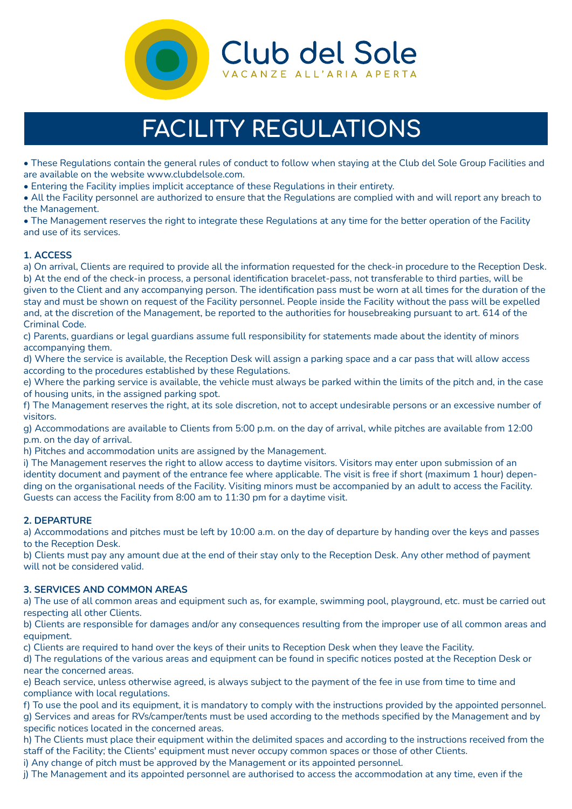

# **FACILITY REGULATIONS**

• These Regulations contain the general rules of conduct to follow when staying at the Club del Sole Group Facilities and are available on the website www.clubdelsole.com.

• Entering the Facility implies implicit acceptance of these Regulations in their entirety.

• All the Facility personnel are authorized to ensure that the Regulations are complied with and will report any breach to the Management.

• The Management reserves the right to integrate these Regulations at any time for the better operation of the Facility and use of its services.

# **1. ACCESS**

a) On arrival, Clients are required to provide all the information requested for the check-in procedure to the Reception Desk. b) At the end of the check-in process, a personal identification bracelet-pass, not transferable to third parties, will be given to the Client and any accompanying person. The identification pass must be worn at all times for the duration of the stay and must be shown on request of the Facility personnel. People inside the Facility without the pass will be expelled and, at the discretion of the Management, be reported to the authorities for housebreaking pursuant to art. 614 of the Criminal Code.

c) Parents, guardians or legal guardians assume full responsibility for statements made about the identity of minors accompanying them.

d) Where the service is available, the Reception Desk will assign a parking space and a car pass that will allow access according to the procedures established by these Regulations.

e) Where the parking service is available, the vehicle must always be parked within the limits of the pitch and, in the case of housing units, in the assigned parking spot.

f) The Management reserves the right, at its sole discretion, not to accept undesirable persons or an excessive number of visitors.

g) Accommodations are available to Clients from 5:00 p.m. on the day of arrival, while pitches are available from 12:00 p.m. on the day of arrival.

h) Pitches and accommodation units are assigned by the Management.

i) The Management reserves the right to allow access to daytime visitors. Visitors may enter upon submission of an identity document and payment of the entrance fee where applicable. The visit is free if short (maximum 1 hour) depending on the organisational needs of the Facility. Visiting minors must be accompanied by an adult to access the Facility. Guests can access the Facility from 8:00 am to 11:30 pm for a daytime visit.

# **2. DEPARTURE**

a) Accommodations and pitches must be left by 10:00 a.m. on the day of departure by handing over the keys and passes to the Reception Desk.

b) Clients must pay any amount due at the end of their stay only to the Reception Desk. Any other method of payment will not be considered valid.

#### **3. SERVICES AND COMMON AREAS**

a) The use of all common areas and equipment such as, for example, swimming pool, playground, etc. must be carried out respecting all other Clients.

b) Clients are responsible for damages and/or any consequences resulting from the improper use of all common areas and equipment.

c) Clients are required to hand over the keys of their units to Reception Desk when they leave the Facility.

d) The regulations of the various areas and equipment can be found in specific notices posted at the Reception Desk or near the concerned areas.

e) Beach service, unless otherwise agreed, is always subject to the payment of the fee in use from time to time and compliance with local regulations.

f) To use the pool and its equipment, it is mandatory to comply with the instructions provided by the appointed personnel.

g) Services and areas for RVs/camper/tents must be used according to the methods specified by the Management and by specific notices located in the concerned areas.

h) The Clients must place their equipment within the delimited spaces and according to the instructions received from the staff of the Facility; the Clients' equipment must never occupy common spaces or those of other Clients.

i) Any change of pitch must be approved by the Management or its appointed personnel.

j) The Management and its appointed personnel are authorised to access the accommodation at any time, even if the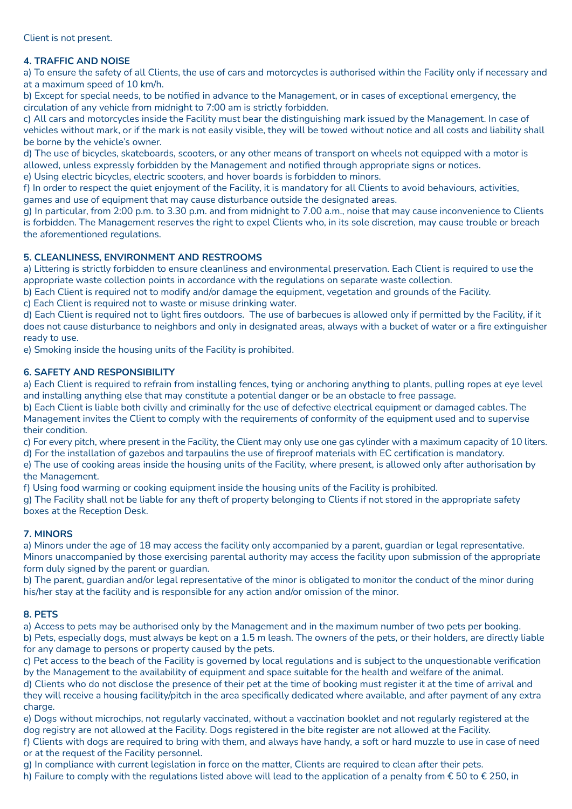# **4. TRAFFIC AND NOISE**

a) To ensure the safety of all Clients, the use of cars and motorcycles is authorised within the Facility only if necessary and at a maximum speed of 10 km/h.

b) Except for special needs, to be notified in advance to the Management, or in cases of exceptional emergency, the circulation of any vehicle from midnight to 7:00 am is strictly forbidden.

c) All cars and motorcycles inside the Facility must bear the distinguishing mark issued by the Management. In case of vehicles without mark, or if the mark is not easily visible, they will be towed without notice and all costs and liability shall be borne by the vehicle's owner.

d) The use of bicycles, skateboards, scooters, or any other means of transport on wheels not equipped with a motor is allowed, unless expressly forbidden by the Management and notified through appropriate signs or notices.

e) Using electric bicycles, electric scooters, and hover boards is forbidden to minors.

f) In order to respect the quiet enjoyment of the Facility, it is mandatory for all Clients to avoid behaviours, activities, games and use of equipment that may cause disturbance outside the designated areas.

g) In particular, from 2:00 p.m. to 3.30 p.m. and from midnight to 7.00 a.m., noise that may cause inconvenience to Clients is forbidden. The Management reserves the right to expel Clients who, in its sole discretion, may cause trouble or breach the aforementioned regulations.

## **5. CLEANLINESS, ENVIRONMENT AND RESTROOMS**

a) Littering is strictly forbidden to ensure cleanliness and environmental preservation. Each Client is required to use the appropriate waste collection points in accordance with the regulations on separate waste collection.

b) Each Client is required not to modify and/or damage the equipment, vegetation and grounds of the Facility.

c) Each Client is required not to waste or misuse drinking water.

d) Each Client is required not to light fires outdoors. The use of barbecues is allowed only if permitted by the Facility, if it does not cause disturbance to neighbors and only in designated areas, always with a bucket of water or a fire extinguisher ready to use.

e) Smoking inside the housing units of the Facility is prohibited.

## **6. SAFETY AND RESPONSIBILITY**

a) Each Client is required to refrain from installing fences, tying or anchoring anything to plants, pulling ropes at eye level and installing anything else that may constitute a potential danger or be an obstacle to free passage.

b) Each Client is liable both civilly and criminally for the use of defective electrical equipment or damaged cables. The Management invites the Client to comply with the requirements of conformity of the equipment used and to supervise their condition.

c) For every pitch, where present in the Facility, the Client may only use one gas cylinder with a maximum capacity of 10 liters. d) For the installation of gazebos and tarpaulins the use of fireproof materials with EC certification is mandatory.

e) The use of cooking areas inside the housing units of the Facility, where present, is allowed only after authorisation by the Management.

f) Using food warming or cooking equipment inside the housing units of the Facility is prohibited.

g) The Facility shall not be liable for any theft of property belonging to Clients if not stored in the appropriate safety boxes at the Reception Desk.

# **7. MINORS**

a) Minors under the age of 18 may access the facility only accompanied by a parent, guardian or legal representative. Minors unaccompanied by those exercising parental authority may access the facility upon submission of the appropriate form duly signed by the parent or guardian.

b) The parent, guardian and/or legal representative of the minor is obligated to monitor the conduct of the minor during his/her stay at the facility and is responsible for any action and/or omission of the minor.

# **8. PETS**

a) Access to pets may be authorised only by the Management and in the maximum number of two pets per booking. b) Pets, especially dogs, must always be kept on a 1.5 m leash. The owners of the pets, or their holders, are directly liable for any damage to persons or property caused by the pets.

c) Pet access to the beach of the Facility is governed by local regulations and is subject to the unquestionable verification by the Management to the availability of equipment and space suitable for the health and welfare of the animal.

d) Clients who do not disclose the presence of their pet at the time of booking must register it at the time of arrival and they will receive a housing facility/pitch in the area specifically dedicated where available, and after payment of any extra charge.

e) Dogs without microchips, not regularly vaccinated, without a vaccination booklet and not regularly registered at the dog registry are not allowed at the Facility. Dogs registered in the bite register are not allowed at the Facility.

f) Clients with dogs are required to bring with them, and always have handy, a soft or hard muzzle to use in case of need or at the request of the Facility personnel.

g) In compliance with current legislation in force on the matter, Clients are required to clean after their pets.

h) Failure to comply with the regulations listed above will lead to the application of a penalty from € 50 to € 250, in